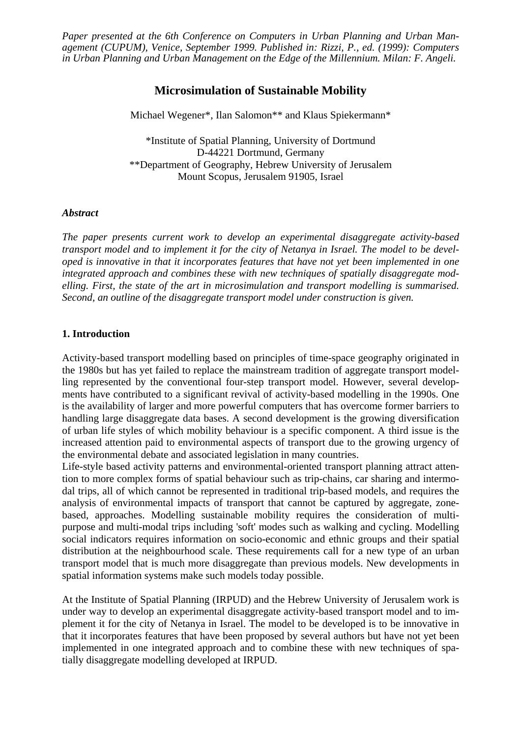*Paper presented at the 6th Conference on Computers in Urban Planning and Urban Management (CUPUM), Venice, September 1999. Published in: Rizzi, P., ed. (1999): Computers in Urban Planning and Urban Management on the Edge of the Millennium. Milan: F. Angeli.*

# **Microsimulation of Sustainable Mobility**

Michael Wegener\*, Ilan Salomon\*\* and Klaus Spiekermann\*

\*Institute of Spatial Planning, University of Dortmund D-44221 Dortmund, Germany \*\*Department of Geography, Hebrew University of Jerusalem Mount Scopus, Jerusalem 91905, Israel

#### *Abstract*

*The paper presents current work to develop an experimental disaggregate activity-based transport model and to implement it for the city of Netanya in Israel. The model to be developed is innovative in that it incorporates features that have not yet been implemented in one integrated approach and combines these with new techniques of spatially disaggregate modelling. First, the state of the art in microsimulation and transport modelling is summarised. Second, an outline of the disaggregate transport model under construction is given.*

#### **1. Introduction**

Activity-based transport modelling based on principles of time-space geography originated in the 1980s but has yet failed to replace the mainstream tradition of aggregate transport modelling represented by the conventional four-step transport model. However, several developments have contributed to a significant revival of activity-based modelling in the 1990s. One is the availability of larger and more powerful computers that has overcome former barriers to handling large disaggregate data bases. A second development is the growing diversification of urban life styles of which mobility behaviour is a specific component. A third issue is the increased attention paid to environmental aspects of transport due to the growing urgency of the environmental debate and associated legislation in many countries.

Life-style based activity patterns and environmental-oriented transport planning attract attention to more complex forms of spatial behaviour such as trip-chains, car sharing and intermodal trips, all of which cannot be represented in traditional trip-based models, and requires the analysis of environmental impacts of transport that cannot be captured by aggregate, zonebased, approaches. Modelling sustainable mobility requires the consideration of multipurpose and multi-modal trips including 'soft' modes such as walking and cycling. Modelling social indicators requires information on socio-economic and ethnic groups and their spatial distribution at the neighbourhood scale. These requirements call for a new type of an urban transport model that is much more disaggregate than previous models. New developments in spatial information systems make such models today possible.

At the Institute of Spatial Planning (IRPUD) and the Hebrew University of Jerusalem work is under way to develop an experimental disaggregate activity-based transport model and to implement it for the city of Netanya in Israel. The model to be developed is to be innovative in that it incorporates features that have been proposed by several authors but have not yet been implemented in one integrated approach and to combine these with new techniques of spatially disaggregate modelling developed at IRPUD.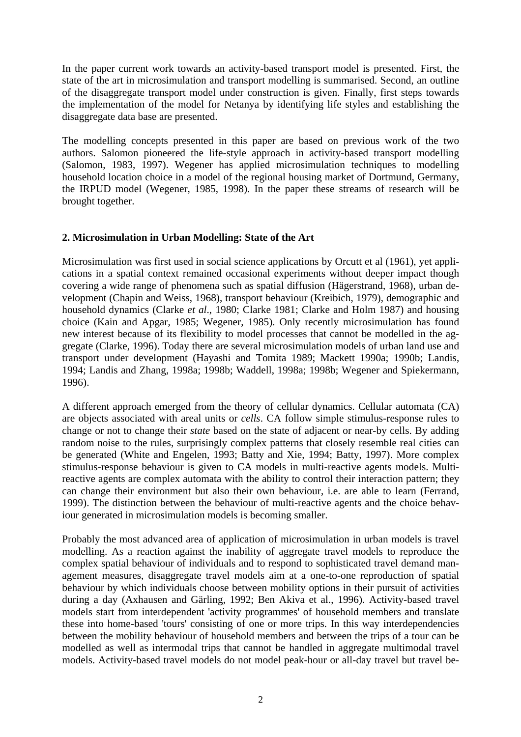In the paper current work towards an activity-based transport model is presented. First, the state of the art in microsimulation and transport modelling is summarised. Second, an outline of the disaggregate transport model under construction is given. Finally, first steps towards the implementation of the model for Netanya by identifying life styles and establishing the disaggregate data base are presented.

The modelling concepts presented in this paper are based on previous work of the two authors. Salomon pioneered the life-style approach in activity-based transport modelling (Salomon, 1983, 1997). Wegener has applied microsimulation techniques to modelling household location choice in a model of the regional housing market of Dortmund, Germany, the IRPUD model (Wegener, 1985, 1998). In the paper these streams of research will be brought together.

### **2. Microsimulation in Urban Modelling: State of the Art**

Microsimulation was first used in social science applications by Orcutt et al (1961), yet applications in a spatial context remained occasional experiments without deeper impact though covering a wide range of phenomena such as spatial diffusion (Hägerstrand, 1968), urban development (Chapin and Weiss, 1968), transport behaviour (Kreibich, 1979), demographic and household dynamics (Clarke *et al*., 1980; Clarke 1981; Clarke and Holm 1987) and housing choice (Kain and Apgar, 1985; Wegener, 1985). Only recently microsimulation has found new interest because of its flexibility to model processes that cannot be modelled in the aggregate (Clarke, 1996). Today there are several microsimulation models of urban land use and transport under development (Hayashi and Tomita 1989; Mackett 1990a; 1990b; Landis, 1994; Landis and Zhang, 1998a; 1998b; Waddell, 1998a; 1998b; Wegener and Spiekermann, 1996).

A different approach emerged from the theory of cellular dynamics. Cellular automata (CA) are objects associated with areal units or *cells*. CA follow simple stimulus-response rules to change or not to change their *state* based on the state of adjacent or near-by cells. By adding random noise to the rules, surprisingly complex patterns that closely resemble real cities can be generated (White and Engelen, 1993; Batty and Xie, 1994; Batty, 1997). More complex stimulus-response behaviour is given to CA models in multi-reactive agents models. Multireactive agents are complex automata with the ability to control their interaction pattern; they can change their environment but also their own behaviour, i.e. are able to learn (Ferrand, 1999). The distinction between the behaviour of multi-reactive agents and the choice behaviour generated in microsimulation models is becoming smaller.

Probably the most advanced area of application of microsimulation in urban models is travel modelling. As a reaction against the inability of aggregate travel models to reproduce the complex spatial behaviour of individuals and to respond to sophisticated travel demand management measures, disaggregate travel models aim at a one-to-one reproduction of spatial behaviour by which individuals choose between mobility options in their pursuit of activities during a day (Axhausen and Gärling, 1992; Ben Akiva et al., 1996). Activity-based travel models start from interdependent 'activity programmes' of household members and translate these into home-based 'tours' consisting of one or more trips. In this way interdependencies between the mobility behaviour of household members and between the trips of a tour can be modelled as well as intermodal trips that cannot be handled in aggregate multimodal travel models. Activity-based travel models do not model peak-hour or all-day travel but travel be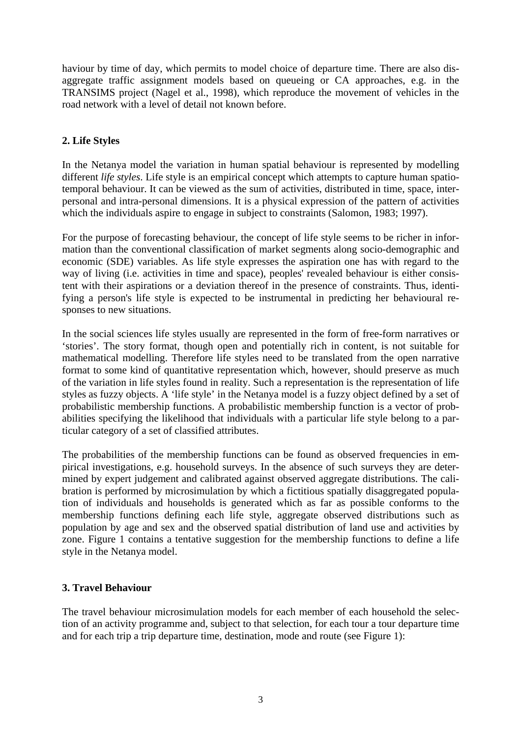haviour by time of day, which permits to model choice of departure time. There are also disaggregate traffic assignment models based on queueing or CA approaches, e.g. in the TRANSIMS project (Nagel et al., 1998), which reproduce the movement of vehicles in the road network with a level of detail not known before.

# **2. Life Styles**

In the Netanya model the variation in human spatial behaviour is represented by modelling different *life styles*. Life style is an empirical concept which attempts to capture human spatiotemporal behaviour. It can be viewed as the sum of activities, distributed in time, space, interpersonal and intra-personal dimensions. It is a physical expression of the pattern of activities which the individuals aspire to engage in subject to constraints (Salomon, 1983; 1997).

For the purpose of forecasting behaviour, the concept of life style seems to be richer in information than the conventional classification of market segments along socio-demographic and economic (SDE) variables. As life style expresses the aspiration one has with regard to the way of living (i.e. activities in time and space), peoples' revealed behaviour is either consistent with their aspirations or a deviation thereof in the presence of constraints. Thus, identifying a person's life style is expected to be instrumental in predicting her behavioural responses to new situations.

In the social sciences life styles usually are represented in the form of free-form narratives or 'stories'. The story format, though open and potentially rich in content, is not suitable for mathematical modelling. Therefore life styles need to be translated from the open narrative format to some kind of quantitative representation which, however, should preserve as much of the variation in life styles found in reality. Such a representation is the representation of life styles as fuzzy objects. A 'life style' in the Netanya model is a fuzzy object defined by a set of probabilistic membership functions. A probabilistic membership function is a vector of probabilities specifying the likelihood that individuals with a particular life style belong to a particular category of a set of classified attributes.

The probabilities of the membership functions can be found as observed frequencies in empirical investigations, e.g. household surveys. In the absence of such surveys they are determined by expert judgement and calibrated against observed aggregate distributions. The calibration is performed by microsimulation by which a fictitious spatially disaggregated population of individuals and households is generated which as far as possible conforms to the membership functions defining each life style, aggregate observed distributions such as population by age and sex and the observed spatial distribution of land use and activities by zone. Figure 1 contains a tentative suggestion for the membership functions to define a life style in the Netanya model.

## **3. Travel Behaviour**

The travel behaviour microsimulation models for each member of each household the selection of an activity programme and, subject to that selection, for each tour a tour departure time and for each trip a trip departure time, destination, mode and route (see Figure 1):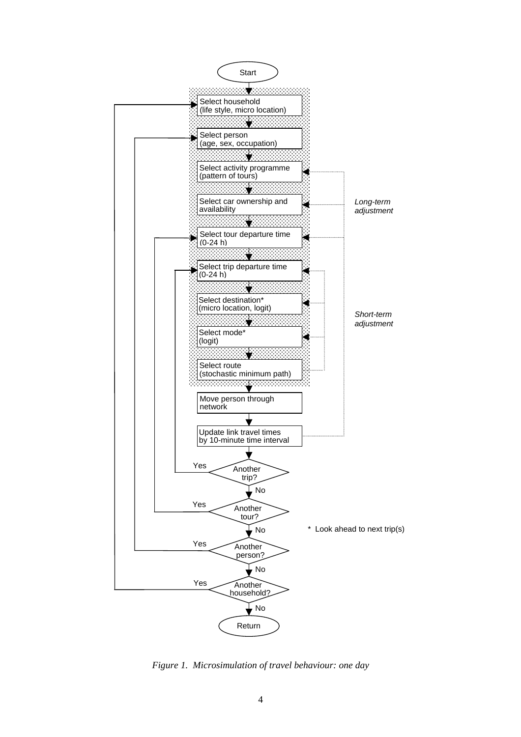

*Figure 1. Microsimulation of travel behaviour: one day*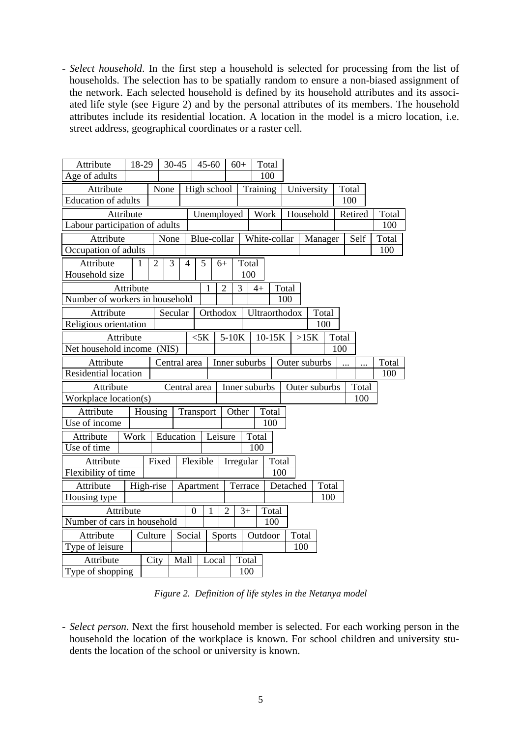- *Select household*. In the first step a household is selected for processing from the list of households. The selection has to be spatially random to ensure a non-biased assignment of the network. Each selected household is defined by its household attributes and its associated life style (see Figure 2) and by the personal attributes of its members. The household attributes include its residential location. A location in the model is a micro location, i.e. street address, geographical coordinates or a raster cell.

| Attribute                      | 18-29        |                | 30-45          |                | $45 - 60$        |                |                | $60+$          | Total         |       |               |         |       |         |       |       |
|--------------------------------|--------------|----------------|----------------|----------------|------------------|----------------|----------------|----------------|---------------|-------|---------------|---------|-------|---------|-------|-------|
| Age of adults                  |              |                |                |                |                  |                |                |                | 100           |       |               |         |       |         |       |       |
| Attribute                      |              |                | None           |                | High school      |                |                |                | Training      |       | University    |         |       | Total   |       |       |
| Education of adults            |              |                |                |                |                  |                |                |                |               |       |               |         | 100   |         |       |       |
| Attribute                      |              |                |                |                | Unemployed       |                |                | Work           |               |       | Household     |         |       | Retired |       | Total |
| Labour participation of adults |              |                |                |                |                  |                |                |                |               |       |               |         |       |         |       | 100   |
| Attribute                      |              |                | None           |                |                  | Blue-collar    |                |                | White-collar  |       |               | Manager |       |         | Self  | Total |
| Occupation of adults           |              |                |                |                |                  |                |                |                |               |       |               |         |       |         |       | 100   |
| Attribute                      | $\mathbf{1}$ | $\overline{2}$ | $\overline{3}$ | $\overline{4}$ |                  | 5<br>$6+$      |                | Total          |               |       |               |         |       |         |       |       |
| Household size                 |              |                |                |                |                  |                |                | 100            |               |       |               |         |       |         |       |       |
| Attribute                      |              |                |                |                | 1                | $\overline{2}$ | 3              | $4+$           | Total         |       |               |         |       |         |       |       |
| Number of workers in household |              |                |                |                |                  |                |                |                |               |       | 100           |         |       |         |       |       |
| Attribute                      |              |                | Secular        |                |                  | Orthodox       |                |                | Ultraorthodox |       |               |         | Total |         |       |       |
| Religious orientation          |              |                |                |                |                  |                |                |                |               |       |               | 100     |       |         |       |       |
| Attribute                      |              |                |                |                | $<$ 5 $K$        |                | $5-10K$        |                | 10-15K        |       |               | >15K    | Total |         |       |       |
| Net household income (NIS)     |              |                |                |                |                  |                |                |                |               |       |               | 100     |       |         |       |       |
| Attribute                      |              |                | Central area   |                |                  | Inner suburbs  |                |                | Outer suburbs |       |               |         |       |         | Total |       |
| Residential location           |              |                |                |                |                  |                |                |                |               |       |               |         |       |         |       | 100   |
| Attribute                      |              |                | Central area   |                |                  |                | Inner suburbs  |                |               |       | Outer suburbs |         |       |         | Total |       |
| Workplace location(s)          |              |                |                |                |                  |                |                |                |               |       |               |         |       |         | 100   |       |
| Attribute                      |              | Housing        |                |                | Transport        |                |                | Other<br>Total |               |       |               |         |       |         |       |       |
| Use of income                  |              |                |                |                |                  |                |                |                |               |       |               |         |       |         |       |       |
| Attribute                      | Work         |                | Education      |                |                  | Leisure        |                |                | Total         |       |               |         |       |         |       |       |
| Use of time                    |              |                |                |                |                  |                | 100            |                |               |       |               |         |       |         |       |       |
| Fixed<br>Attribute             |              |                | Flexible       |                |                  | Irregular      |                |                | Total         |       |               |         |       |         |       |       |
| Flexibility of time            |              |                |                |                |                  |                |                |                |               | 100   |               |         |       |         |       |       |
| Attribute                      |              | High-rise      |                |                | Apartment        |                |                | Terrace        |               |       | Detached      |         | Total |         |       |       |
| Housing type                   |              |                |                |                |                  |                |                |                |               |       |               |         | 100   |         |       |       |
| Attribute                      |              |                |                |                | $\boldsymbol{0}$ | $\mathbf{1}$   | $\overline{2}$ | $3+$           |               | Total |               |         |       |         |       |       |
| Number of cars in household    |              |                |                |                |                  |                |                |                |               | 100   |               |         |       |         |       |       |
| Attribute                      | Culture      |                |                | Social         |                  |                | <b>Sports</b>  |                | Outdoor       |       |               | Total   |       |         |       |       |
| Type of leisure                |              |                |                |                |                  |                |                |                |               |       |               | 100     |       |         |       |       |
| Attribute                      |              | City           |                | Mall           |                  | Local          |                | Total          |               |       |               |         |       |         |       |       |
| Type of shopping               |              |                |                |                |                  |                |                | 100            |               |       |               |         |       |         |       |       |

*Figure 2. Definition of life styles in the Netanya model*

- *Select person*. Next the first household member is selected. For each working person in the household the location of the workplace is known. For school children and university students the location of the school or university is known.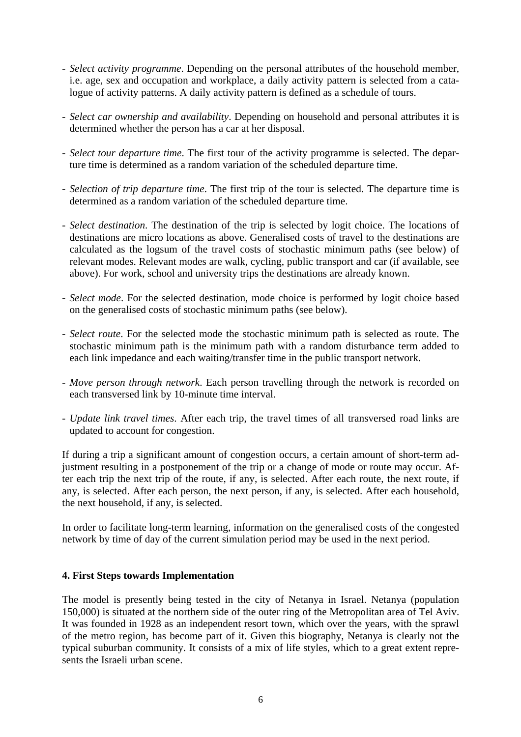- *Select activity programme*. Depending on the personal attributes of the household member, i.e. age, sex and occupation and workplace, a daily activity pattern is selected from a catalogue of activity patterns. A daily activity pattern is defined as a schedule of tours.
- *Select car ownership and availability*. Depending on household and personal attributes it is determined whether the person has a car at her disposal.
- *Select tour departure time*. The first tour of the activity programme is selected. The departure time is determined as a random variation of the scheduled departure time.
- *Selection of trip departure time*. The first trip of the tour is selected. The departure time is determined as a random variation of the scheduled departure time.
- *Select destination*. The destination of the trip is selected by logit choice. The locations of destinations are micro locations as above. Generalised costs of travel to the destinations are calculated as the logsum of the travel costs of stochastic minimum paths (see below) of relevant modes. Relevant modes are walk, cycling, public transport and car (if available, see above). For work, school and university trips the destinations are already known.
- *Select mode*. For the selected destination, mode choice is performed by logit choice based on the generalised costs of stochastic minimum paths (see below).
- *Select route*. For the selected mode the stochastic minimum path is selected as route. The stochastic minimum path is the minimum path with a random disturbance term added to each link impedance and each waiting/transfer time in the public transport network.
- *Move person through network*. Each person travelling through the network is recorded on each transversed link by 10-minute time interval.
- *Update link travel times*. After each trip, the travel times of all transversed road links are updated to account for congestion.

If during a trip a significant amount of congestion occurs, a certain amount of short-term adjustment resulting in a postponement of the trip or a change of mode or route may occur. After each trip the next trip of the route, if any, is selected. After each route, the next route, if any, is selected. After each person, the next person, if any, is selected. After each household, the next household, if any, is selected.

In order to facilitate long-term learning, information on the generalised costs of the congested network by time of day of the current simulation period may be used in the next period.

#### **4. First Steps towards Implementation**

The model is presently being tested in the city of Netanya in Israel. Netanya (population 150,000) is situated at the northern side of the outer ring of the Metropolitan area of Tel Aviv. It was founded in 1928 as an independent resort town, which over the years, with the sprawl of the metro region, has become part of it. Given this biography, Netanya is clearly not the typical suburban community. It consists of a mix of life styles, which to a great extent represents the Israeli urban scene.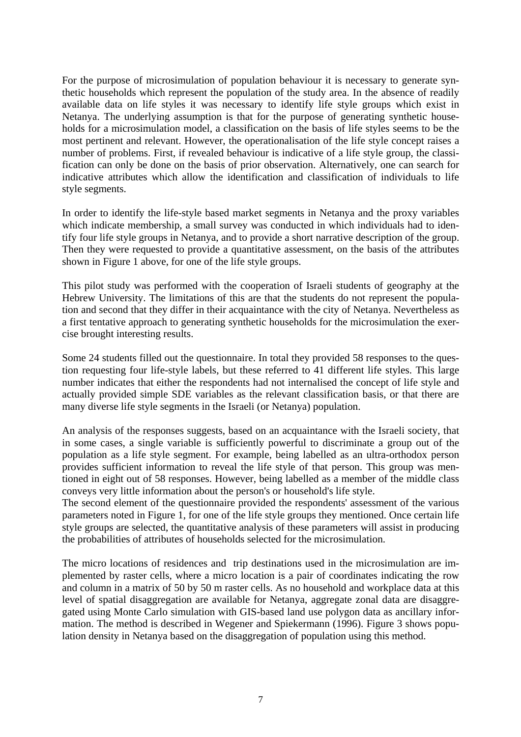For the purpose of microsimulation of population behaviour it is necessary to generate synthetic households which represent the population of the study area. In the absence of readily available data on life styles it was necessary to identify life style groups which exist in Netanya. The underlying assumption is that for the purpose of generating synthetic households for a microsimulation model, a classification on the basis of life styles seems to be the most pertinent and relevant. However, the operationalisation of the life style concept raises a number of problems. First, if revealed behaviour is indicative of a life style group, the classification can only be done on the basis of prior observation. Alternatively, one can search for indicative attributes which allow the identification and classification of individuals to life style segments.

In order to identify the life-style based market segments in Netanya and the proxy variables which indicate membership, a small survey was conducted in which individuals had to identify four life style groups in Netanya, and to provide a short narrative description of the group. Then they were requested to provide a quantitative assessment, on the basis of the attributes shown in Figure 1 above, for one of the life style groups.

This pilot study was performed with the cooperation of Israeli students of geography at the Hebrew University. The limitations of this are that the students do not represent the population and second that they differ in their acquaintance with the city of Netanya. Nevertheless as a first tentative approach to generating synthetic households for the microsimulation the exercise brought interesting results.

Some 24 students filled out the questionnaire. In total they provided 58 responses to the question requesting four life-style labels, but these referred to 41 different life styles. This large number indicates that either the respondents had not internalised the concept of life style and actually provided simple SDE variables as the relevant classification basis, or that there are many diverse life style segments in the Israeli (or Netanya) population.

An analysis of the responses suggests, based on an acquaintance with the Israeli society, that in some cases, a single variable is sufficiently powerful to discriminate a group out of the population as a life style segment. For example, being labelled as an ultra-orthodox person provides sufficient information to reveal the life style of that person. This group was mentioned in eight out of 58 responses. However, being labelled as a member of the middle class conveys very little information about the person's or household's life style.

The second element of the questionnaire provided the respondents' assessment of the various parameters noted in Figure 1, for one of the life style groups they mentioned. Once certain life style groups are selected, the quantitative analysis of these parameters will assist in producing the probabilities of attributes of households selected for the microsimulation.

The micro locations of residences and trip destinations used in the microsimulation are implemented by raster cells, where a micro location is a pair of coordinates indicating the row and column in a matrix of 50 by 50 m raster cells. As no household and workplace data at this level of spatial disaggregation are available for Netanya, aggregate zonal data are disaggregated using Monte Carlo simulation with GIS-based land use polygon data as ancillary information. The method is described in Wegener and Spiekermann (1996). Figure 3 shows population density in Netanya based on the disaggregation of population using this method.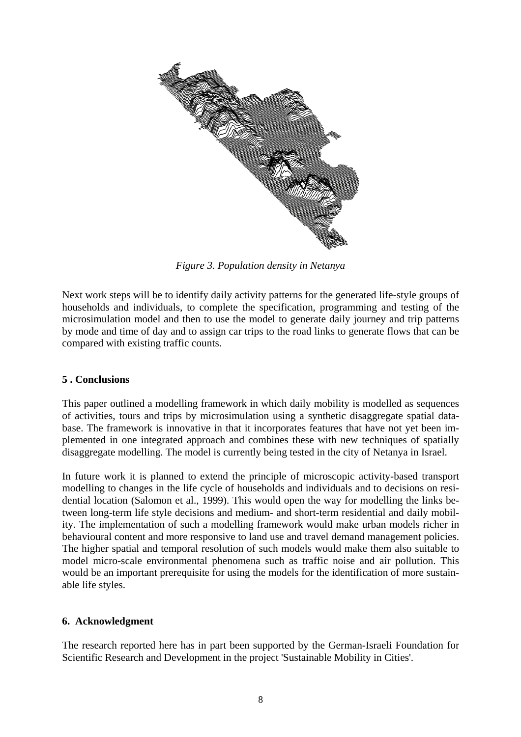

*Figure 3. Population density in Netanya*

Next work steps will be to identify daily activity patterns for the generated life-style groups of households and individuals, to complete the specification, programming and testing of the microsimulation model and then to use the model to generate daily journey and trip patterns by mode and time of day and to assign car trips to the road links to generate flows that can be compared with existing traffic counts.

## **5 . Conclusions**

This paper outlined a modelling framework in which daily mobility is modelled as sequences of activities, tours and trips by microsimulation using a synthetic disaggregate spatial database. The framework is innovative in that it incorporates features that have not yet been implemented in one integrated approach and combines these with new techniques of spatially disaggregate modelling. The model is currently being tested in the city of Netanya in Israel.

In future work it is planned to extend the principle of microscopic activity-based transport modelling to changes in the life cycle of households and individuals and to decisions on residential location (Salomon et al., 1999). This would open the way for modelling the links between long-term life style decisions and medium- and short-term residential and daily mobility. The implementation of such a modelling framework would make urban models richer in behavioural content and more responsive to land use and travel demand management policies. The higher spatial and temporal resolution of such models would make them also suitable to model micro-scale environmental phenomena such as traffic noise and air pollution. This would be an important prerequisite for using the models for the identification of more sustainable life styles.

## **6. Acknowledgment**

The research reported here has in part been supported by the German-Israeli Foundation for Scientific Research and Development in the project 'Sustainable Mobility in Cities'.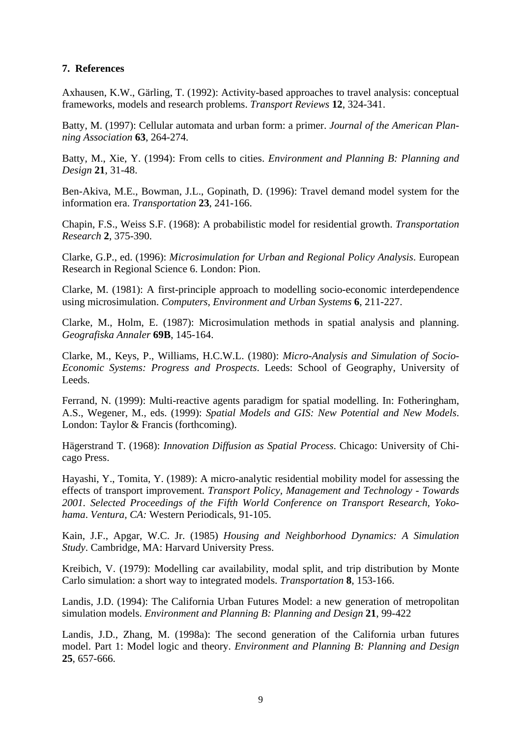### **7. References**

Axhausen, K.W., Gärling, T. (1992): Activity-based approaches to travel analysis: conceptual frameworks, models and research problems. *Transport Reviews* **12**, 324-341.

Batty, M. (1997): Cellular automata and urban form: a primer. *Journal of the American Planning Association* **63**, 264-274.

Batty, M., Xie, Y. (1994): From cells to cities. *Environment and Planning B: Planning and Design* **21**, 31-48.

Ben-Akiva, M.E., Bowman, J.L., Gopinath, D. (1996): Travel demand model system for the information era. *Transportation* **23**, 241-166.

Chapin, F.S., Weiss S.F. (1968): A probabilistic model for residential growth. *Transportation Research* **2**, 375-390.

Clarke, G.P., ed. (1996): *Microsimulation for Urban and Regional Policy Analysis*. European Research in Regional Science 6. London: Pion.

Clarke, M. (1981): A first-principle approach to modelling socio-economic interdependence using microsimulation. *Computers, Environment and Urban Systems* **6**, 211-227.

Clarke, M., Holm, E. (1987): Microsimulation methods in spatial analysis and planning. *Geografiska Annaler* **69B**, 145-164.

Clarke, M., Keys, P., Williams, H.C.W.L. (1980): *Micro-Analysis and Simulation of Socio-Economic Systems: Progress and Prospects*. Leeds: School of Geography, University of Leeds.

Ferrand, N. (1999): Multi-reactive agents paradigm for spatial modelling. In: Fotheringham, A.S., Wegener, M., eds. (1999): *Spatial Models and GIS: New Potential and New Models*. London: Taylor & Francis (forthcoming).

Hägerstrand T. (1968): *Innovation Diffusion as Spatial Process*. Chicago: University of Chicago Press.

Hayashi, Y., Tomita, Y. (1989): A micro-analytic residential mobility model for assessing the effects of transport improvement. *Transport Policy, Management and Technology - Towards 2001. Selected Proceedings of the Fifth World Conference on Transport Research, Yokohama*. *Ventura, CA:* Western Periodicals, 91-105.

Kain, J.F., Apgar, W.C. Jr. (1985) *Housing and Neighborhood Dynamics: A Simulation Study*. Cambridge, MA: Harvard University Press.

Kreibich, V. (1979): Modelling car availability, modal split, and trip distribution by Monte Carlo simulation: a short way to integrated models. *Transportation* **8**, 153-166.

Landis, J.D. (1994): The California Urban Futures Model: a new generation of metropolitan simulation models. *Environment and Planning B: Planning and Design* **21**, 99-422

Landis, J.D., Zhang, M. (1998a): The second generation of the California urban futures model. Part 1: Model logic and theory. *Environment and Planning B: Planning and Design* **25**, 657-666.